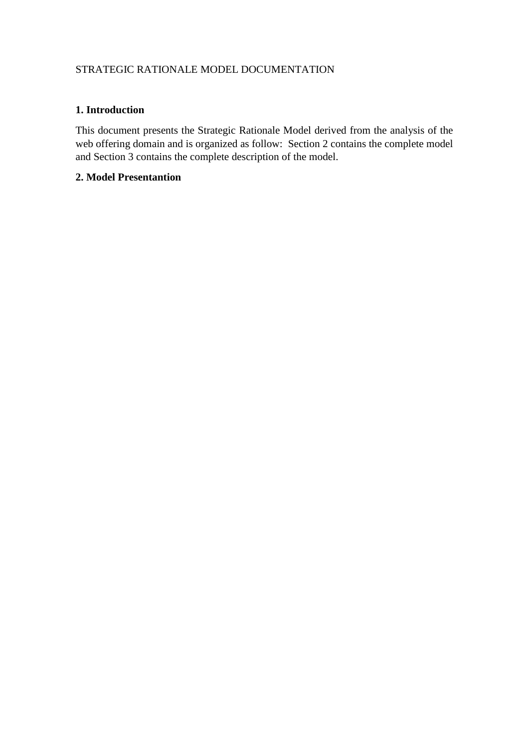# STRATEGIC RATIONALE MODEL DOCUMENTATION

#### **1. Introduction**

This document presents the Strategic Rationale Model derived from the analysis of the web offering domain and is organized as follow: Section 2 contains the complete model and Section 3 contains the complete description of the model.

### **2. Model Presentantion**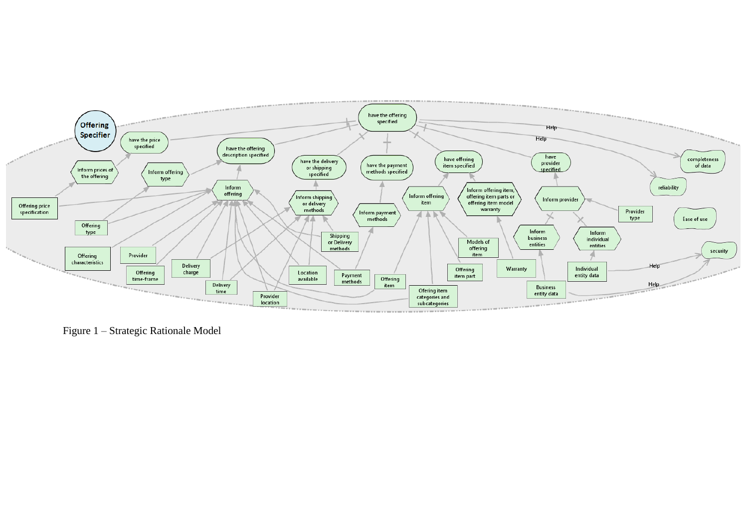

Figure 1 – Strategic Rationale Model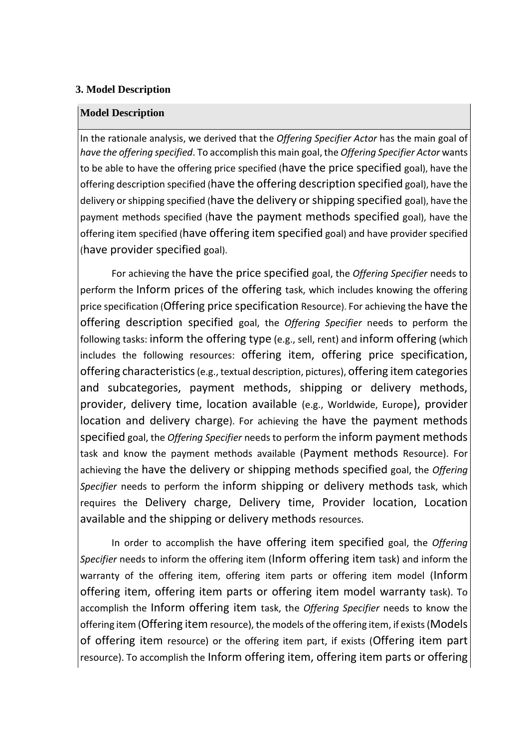## **3. Model Description**

## **Model Description**

In the rationale analysis, we derived that the *Offering Specifier Actor* has the main goal of *have the offering specified*. To accomplish this main goal, the *Offering Specifier Actor* wants to be able to have the offering price specified (have the price specified goal), have the offering description specified (have the offering description specified goal), have the delivery or shipping specified (have the delivery or shipping specified goal), have the payment methods specified (have the payment methods specified goal), have the offering item specified (have offering item specified goal) and have provider specified (have provider specified goal).

For achieving the have the price specified goal, the *Offering Specifier* needs to perform the Inform prices of the offering task, which includes knowing the offering price specification (Offering price specification Resource). For achieving the have the offering description specified goal, the *Offering Specifier* needs to perform the following tasks: inform the offering type (e.g., sell, rent) and inform offering (which includes the following resources: offering item, offering price specification, offering characteristics(e.g., textual description, pictures), offering item categories and subcategories, payment methods, shipping or delivery methods, provider, delivery time, location available (e.g., Worldwide, Europe), provider location and delivery charge). For achieving the have the payment methods specified goal, the *Offering Specifier* needs to perform the inform payment methods task and know the payment methods available (Payment methods Resource). For achieving the have the delivery or shipping methods specified goal, the *Offering Specifier* needs to perform the inform shipping or delivery methods task, which requires the Delivery charge, Delivery time, Provider location, Location available and the shipping or delivery methods resources.

In order to accomplish the have offering item specified goal, the *Offering Specifier* needs to inform the offering item (Inform offering item task) and inform the warranty of the offering item, offering item parts or offering item model (Inform offering item, offering item parts or offering item model warranty task). To accomplish the Inform offering item task, the *Offering Specifier* needs to know the offering item (Offering item resource), the models of the offering item, if exists(Models of offering item resource) or the offering item part, if exists (Offering item part resource). To accomplish the Inform offering item, offering item parts or offering